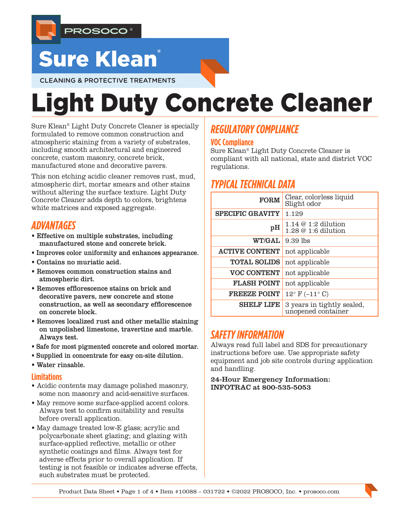

# **Sure Klean**

CLEANING & PROTECTIVE TREATMENTS

# Light Duty Concrete Cleaner

Sure Klean® Light Duty Concrete Cleaner is specially formulated to remove common construction and atmospheric staining from a variety of substrates, including smooth architectural and engineered concrete, custom masonry, concrete brick, manufactured stone and decorative pavers.

This non etching acidic cleaner removes rust, mud, atmospheric dirt, mortar smears and other stains without altering the surface texture. Light Duty Concrete Cleaner adds depth to colors, brightens white matrices and exposed aggregate.

## *ADVANTAGES*

- Effective on multiple substrates, including manufactured stone and concrete brick.
- Improves color uniformity and enhances appearance.
- Contains no muriatic acid.
- Removes common construction stains and atmospheric dirt.
- Removes efflorescence stains on brick and decorative pavers, new concrete and stone construction, as well as secondary efflorescence on concrete block.
- Removes localized rust and other metallic staining on unpolished limestone, travertine and marble. Always test.
- Safe for most pigmented concrete and colored mortar.
- Supplied in concentrate for easy on-site dilution.
- Water rinsable.

#### **Limitations**

- Acidic contents may damage polished masonry, some non masonry and acid-sensitive surfaces.
- May remove some surface-applied accent colors. Always test to confirm suitability and results before overall application.
- May damage treated low-E glass; acrylic and polycarbonate sheet glazing; and glazing with surface-applied reflective, metallic or other synthetic coatings and films. Always test for adverse effects prior to overall application. If testing is not feasible or indicates adverse effects, such substrates must be protected.

# *REGULATORY COMPLIANCE*

#### **VOC Compliance**

Sure Klean® Light Duty Concrete Cleaner is compliant with all national, state and district VOC regulations.

# *TYPICAL TECHNICAL DATA*

| <b>FORM</b>             | Clear, colorless liquid<br>Slight odor           |  |  |
|-------------------------|--------------------------------------------------|--|--|
| <b>SPECIFIC GRAVITY</b> | 1.129                                            |  |  |
| pН                      | 1.14 $@$ 1:2 dilution<br>1.28 @ 1:6 dilution     |  |  |
| <b>WT/GAL</b>           | $9.39$ lbs                                       |  |  |
| <b>ACTIVE CONTENT</b>   | not applicable                                   |  |  |
| <b>TOTAL SOLIDS</b>     | not applicable                                   |  |  |
| <b>VOC CONTENT</b>      | not applicable                                   |  |  |
| <b>FLASH POINT</b>      | not applicable                                   |  |  |
| <b>FREEZE POINT</b>     | $12^{\circ}$ F (-11 $^{\circ}$ C)                |  |  |
| <b>SHELF LIFE</b>       | 3 years in tightly sealed,<br>unopened container |  |  |

## *SAFETY INFORMATION*

Always read full label and SDS for precautionary instructions before use. Use appropriate safety equipment and job site controls during application and handling.

24-Hour Emergency Information: INFOTRAC at 800-535-5053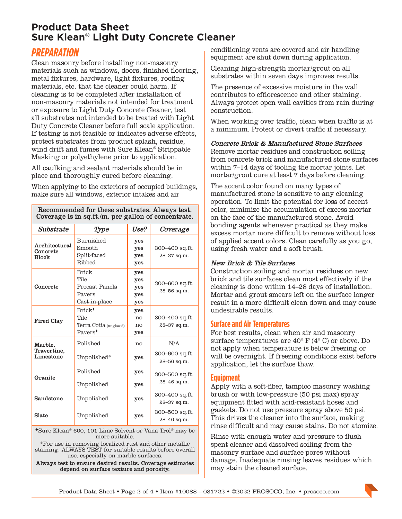### **Product Data Sheet Sure Klean® Light Duty Concrete Cleaner**

## *PREPARATION*

Clean masonry before installing non-masonry materials such as windows, doors, finished flooring, metal fixtures, hardware, light fixtures, roofing materials, etc. that the cleaner could harm. If cleaning is to be completed after installation of non-masonry materials not intended for treatment or exposure to Light Duty Concrete Cleaner, test all substrates not intended to be treated with Light Duty Concrete Cleaner before full scale application. If testing is not feasible or indicates adverse effects, protect substrates from product splash, residue, wind drift and fumes with Sure Klean® Strippable Masking or polyethylene prior to application.

All caulking and sealant materials should be in place and thoroughly cured before cleaning.

When applying to the exteriors of occupied buildings, make sure all windows, exterior intakes and air

Recommended for these substrates. Always test. Coverage is in sq.ft./m. per gallon of concentrate.

| Substrate                                 | Type                                                                        | Use?                            | Coverage                      |
|-------------------------------------------|-----------------------------------------------------------------------------|---------------------------------|-------------------------------|
| Architectural<br>Concrete<br><b>Block</b> | Burnished<br>Smooth<br>Split-faced<br>Ribbed                                | yes<br>yes<br>yes<br>yes        | 300–400 sq.ft.<br>28-37 sq.m. |
| Concrete                                  | <b>Brick</b><br>Tile<br>Precast Panels<br>Payers<br>Cast-in-place           | yes<br>yes<br>yes<br>yes<br>yes | 300-600 sq.ft.<br>28-56 sq.m. |
| <b>Fired Clay</b>                         | Brick <sup>+</sup><br>Tile<br>Terra Cotta (unglazed)<br>Payers <sup>*</sup> | yes<br>no<br>no<br>yes          | 300–400 sq.ft.<br>28-37 sq.m. |
| Marble,<br>Travertine,<br>Limestone       | Polished                                                                    | no                              | N/A                           |
|                                           | Unpolished*                                                                 | yes                             | 300-600 sq.ft.<br>28-56 sq.m. |
| Granite                                   | Polished                                                                    | yes                             | 300-500 sq.ft.                |
|                                           | Unpolished                                                                  | yes                             | 28-46 sq.m.                   |
| Sandstone                                 | Unpolished                                                                  | yes                             | 300–400 sq.ft.<br>28-37 sq.m. |
| Slate                                     | Unpolished                                                                  | yes                             | 300–500 sq.ft.<br>28-46 sq.m. |

Sure Klean® 600, 101 Lime Solvent or Vana Trol® may be more suitable.

\*For use in removing localized rust and other metallic staining. ALWAYS TEST for suitable results before overall use, especially on marble surfaces.

Always test to ensure desired results. Coverage estimates depend on surface texture and porosity.

conditioning vents are covered and air handling equipment are shut down during application.

Cleaning high-strength mortar/grout on all substrates within seven days improves results.

The presence of excessive moisture in the wall contributes to efflorescence and other staining. Always protect open wall cavities from rain during construction.

When working over traffic, clean when traffic is at a minimum. Protect or divert traffic if necessary.

Concrete Brick & Manufactured Stone Surfaces Remove mortar residues and construction soiling from concrete brick and manufactured stone surfaces within 7–14 days of tooling the mortar joints. Let mortar/grout cure at least 7 days before cleaning.

The accent color found on many types of manufactured stone is sensitive to any cleaning operation. To limit the potential for loss of accent color, minimize the accumulation of excess mortar on the face of the manufactured stone. Avoid bonding agents whenever practical as they make excess mortar more difficult to remove without loss of applied accent colors. Clean carefully as you go, using fresh water and a soft brush.

#### New Brick & Tile Surfaces

Construction soiling and mortar residues on new brick and tile surfaces clean most effectively if the cleaning is done within 14–28 days of installation. Mortar and grout smears left on the surface longer result in a more difficult clean down and may cause undesirable results.

#### **Surface and Air Temperatures**

For best results, clean when air and masonry surface temperatures are  $40^{\circ}$  F ( $4^{\circ}$  C) or above. Do not apply when temperature is below freezing or will be overnight. If freezing conditions exist before application, let the surface thaw.

#### **Equipment**

Apply with a soft-fiber, tampico masonry washing brush or with low-pressure (50 psi max) spray equipment fitted with acid-resistant hoses and gaskets. Do not use pressure spray above 50 psi. This drives the cleaner into the surface, making rinse difficult and may cause stains. Do not atomize.

Rinse with enough water and pressure to flush spent cleaner and dissolved soiling from the masonry surface and surface pores without damage. Inadequate rinsing leaves residues which may stain the cleaned surface.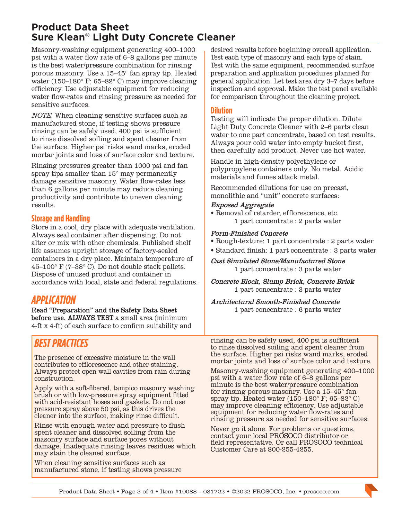## **Product Data Sheet Sure Klean® Light Duty Concrete Cleaner**

Masonry-washing equipment generating 400–1000 psi with a water flow rate of 6–8 gallons per minute is the best water/pressure combination for rinsing porous masonry. Use a 15–45° fan spray tip. Heated water (150–180° F; 65–82° C) may improve cleaning efficiency. Use adjustable equipment for reducing water flow-rates and rinsing pressure as needed for sensitive surfaces.

NOTE: When cleaning sensitive surfaces such as manufactured stone, if testing shows pressure rinsing can be safely used, 400 psi is sufficient to rinse dissolved soiling and spent cleaner from the surface. Higher psi risks wand marks, eroded mortar joints and loss of surface color and texture.

Rinsing pressures greater than 1000 psi and fan spray tips smaller than 15° may permanently damage sensitive masonry. Water flow-rates less than 6 gallons per minute may reduce cleaning productivity and contribute to uneven cleaning results.

#### **Storage and Handling**

Store in a cool, dry place with adequate ventilation. Always seal container after dispensing. Do not alter or mix with other chemicals. Published shelf life assumes upright storage of factory-sealed containers in a dry place. Maintain temperature of 45–100° F (7–38° C). Do not double stack pallets. Dispose of unused product and container in accordance with local, state and federal regulations.

## *APPLICATION*

Read "Preparation" and the Safety Data Sheet before use. ALWAYS TEST a small area (minimum 4-ft x 4-ft) of each surface to confirm suitability and

# *BEST PRACTICES*

The presence of excessive moisture in the wall contributes to efflorescence and other staining. Always protect open wall cavities from rain during construction.

Apply with a soft-fibered, tampico masonry washing brush or with low-pressure spray equipment fitted with acid-resistant hoses and gaskets. Do not use pressure spray above 50 psi, as this drives the cleaner into the surface, making rinse difficult.

Rinse with enough water and pressure to flush spent cleaner and dissolved soiling from the masonry surface and surface pores without damage. Inadequate rinsing leaves residues which may stain the cleaned surface.

When cleaning sensitive surfaces such as manufactured stone, if testing shows pressure

desired results before beginning overall application. Test each type of masonry and each type of stain. Test with the same equipment, recommended surface preparation and application procedures planned for general application. Let test area dry 3–7 days before inspection and approval. Make the test panel available for comparison throughout the cleaning project.

#### **Dilution**

Testing will indicate the proper dilution. Dilute Light Duty Concrete Cleaner with 2–6 parts clean water to one part concentrate, based on test results. Always pour cold water into empty bucket first, then carefully add product. Never use hot water.

Handle in high-density polyethylene or polypropylene containers only. No metal. Acidic materials and fumes attack metal.

Recommended dilutions for use on precast, monolithic and "unit" concrete surfaces:

#### Exposed Aggregate

• Removal of retarder, efflorescence, etc. 1 part concentrate : 2 parts water

#### Form-Finished Concrete

- Rough-texture: 1 part concentrate : 2 parts water
- Standard finish: 1 part concentrate : 3 parts water

Cast Simulated Stone/Manufactured Stone 1 part concentrate : 3 parts water

Concrete Block, Slump Brick, Concrete Brick 1 part concentrate : 3 parts water

Architectural Smooth-Finished Concrete 1 part concentrate : 6 parts water

rinsing can be safely used, 400 psi is sufficient to rinse dissolved soiling and spent cleaner from the surface. Higher psi risks wand marks, eroded mortar joints and loss of surface color and texture.

Masonry-washing equipment generating 400–1000 psi with a water flow rate of 6–8 gallons per minute is the best water/pressure combination for rinsing porous masonry. Use a 15–45° fan spray tip. Heated water  $(150-180^\circ \text{ F}; 65-82^\circ \text{ C})$ may improve cleaning efficiency. Use adjustable equipment for reducing water flow-rates and rinsing pressure as needed for sensitive surfaces.

Never go it alone. For problems or questions, contact your local PROSOCO distributor or field representative. Or call PROSOCO technical Customer Care at 800-255-4255.